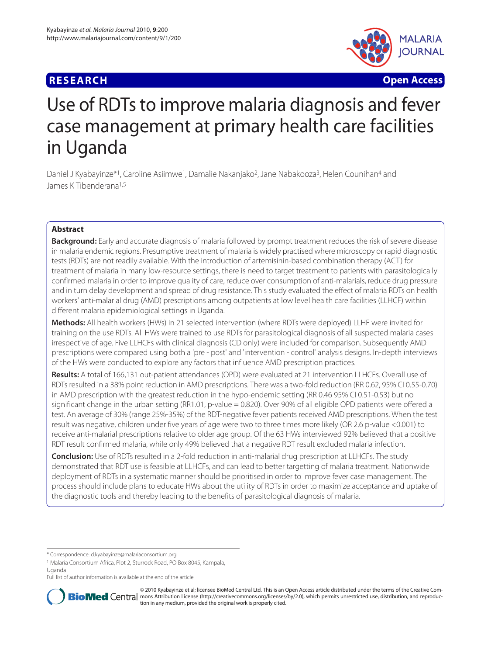# **RESEARCH Open Access**



# Use of RDTs to improve malaria diagnosis and fever case management at primary health care facilities in Uganda

Daniel J Kyabayinze\*1, Caroline Asiimwe1, Damalie Nakanjako2, Jane Nabakooza3, Helen Counihan4 and James K Tibenderana1,5

# **Abstract**

**Background:** Early and accurate diagnosis of malaria followed by prompt treatment reduces the risk of severe disease in malaria endemic regions. Presumptive treatment of malaria is widely practised where microscopy or rapid diagnostic tests (RDTs) are not readily available. With the introduction of artemisinin-based combination therapy (ACT) for treatment of malaria in many low-resource settings, there is need to target treatment to patients with parasitologically confirmed malaria in order to improve quality of care, reduce over consumption of anti-malarials, reduce drug pressure and in turn delay development and spread of drug resistance. This study evaluated the effect of malaria RDTs on health workers' anti-malarial drug (AMD) prescriptions among outpatients at low level health care facilities (LLHCF) within different malaria epidemiological settings in Uganda.

**Methods:** All health workers (HWs) in 21 selected intervention (where RDTs were deployed) LLHF were invited for training on the use RDTs. All HWs were trained to use RDTs for parasitological diagnosis of all suspected malaria cases irrespective of age. Five LLHCFs with clinical diagnosis (CD only) were included for comparison. Subsequently AMD prescriptions were compared using both a 'pre - post' and 'intervention - control' analysis designs. In-depth interviews of the HWs were conducted to explore any factors that influence AMD prescription practices.

**Results:** A total of 166,131 out-patient attendances (OPD) were evaluated at 21 intervention LLHCFs. Overall use of RDTs resulted in a 38% point reduction in AMD prescriptions. There was a two-fold reduction (RR 0.62, 95% CI 0.55-0.70) in AMD prescription with the greatest reduction in the hypo-endemic setting (RR 0.46 95% CI 0.51-0.53) but no significant change in the urban setting (RR1.01, p-value = 0.820). Over 90% of all eligible OPD patients were offered a test. An average of 30% (range 25%-35%) of the RDT-negative fever patients received AMD prescriptions. When the test result was negative, children under five years of age were two to three times more likely (OR 2.6 p-value <0.001) to receive anti-malarial prescriptions relative to older age group. Of the 63 HWs interviewed 92% believed that a positive RDT result confirmed malaria, while only 49% believed that a negative RDT result excluded malaria infection.

**Conclusion:** Use of RDTs resulted in a 2-fold reduction in anti-malarial drug prescription at LLHCFs. The study demonstrated that RDT use is feasible at LLHCFs, and can lead to better targetting of malaria treatment. Nationwide deployment of RDTs in a systematic manner should be prioritised in order to improve fever case management. The process should include plans to educate HWs about the utility of RDTs in order to maximize acceptance and uptake of the diagnostic tools and thereby leading to the benefits of parasitological diagnosis of malaria.

\* Correspondence: d.kyabayinze@malariaconsortium.org

1 Malaria Consortium Africa, Plot 2, Sturrock Road, PO Box 8045, Kampala, Uganda

Full list of author information is available at the end of the article



© 2010 Kyabayinze et al; licensee BioMed Central Ltd. This is an Open Access article distributed under the terms of the Creative Com-**Bio Med** Central mons Attribution License (http://creativecommons.org/licenses/by/2.0), which permits unrestricted use, distribution, and reproduction in any medium, provided the original work is properly cited.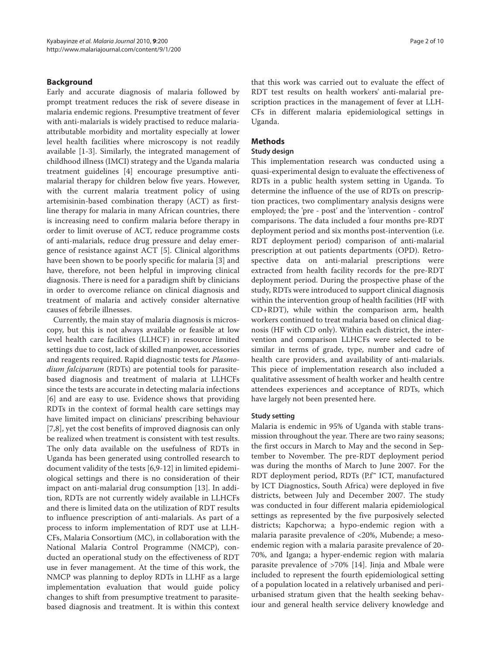#### **Background**

Early and accurate diagnosis of malaria followed by prompt treatment reduces the risk of severe disease in malaria endemic regions. Presumptive treatment of fever with anti-malarials is widely practised to reduce malariaattributable morbidity and mortality especially at lower level health facilities where microscopy is not readily available [1-3]. Similarly, the integrated management of childhood illness (IMCI) strategy and the Uganda malaria treatment guidelines [4] encourage presumptive antimalarial therapy for children below five years. However, with the current malaria treatment policy of using artemisinin-based combination therapy (ACT) as firstline therapy for malaria in many African countries, there is increasing need to confirm malaria before therapy in order to limit overuse of ACT, reduce programme costs of anti-malarials, reduce drug pressure and delay emergence of resistance against ACT [5]. Clinical algorithms have been shown to be poorly specific for malaria [3] and have, therefore, not been helpful in improving clinical diagnosis. There is need for a paradigm shift by clinicians in order to overcome reliance on clinical diagnosis and treatment of malaria and actively consider alternative causes of febrile illnesses.

Currently, the main stay of malaria diagnosis is microscopy, but this is not always available or feasible at low level health care facilities (LLHCF) in resource limited settings due to cost, lack of skilled manpower, accessories and reagents required. Rapid diagnostic tests for *Plasmodium falciparum* (RDTs) are potential tools for parasitebased diagnosis and treatment of malaria at LLHCFs since the tests are accurate in detecting malaria infections [6] and are easy to use. Evidence shows that providing RDTs in the context of formal health care settings may have limited impact on clinicians' prescribing behaviour [7,8], yet the cost benefits of improved diagnosis can only be realized when treatment is consistent with test results. The only data available on the usefulness of RDTs in Uganda has been generated using controlled research to document validity of the tests [6,9-12] in limited epidemiological settings and there is no consideration of their impact on anti-malarial drug consumption [13]. In addition, RDTs are not currently widely available in LLHCFs and there is limited data on the utilization of RDT results to influence prescription of anti-malarials. As part of a process to inform implementation of RDT use at LLH-CFs, Malaria Consortium (MC), in collaboration with the National Malaria Control Programme (NMCP), conducted an operational study on the effectiveness of RDT use in fever management. At the time of this work, the NMCP was planning to deploy RDTs in LLHF as a large implementation evaluation that would guide policy changes to shift from presumptive treatment to parasitebased diagnosis and treatment. It is within this context that this work was carried out to evaluate the effect of RDT test results on health workers' anti-malarial prescription practices in the management of fever at LLH-CFs in different malaria epidemiological settings in Uganda.

# **Methods**

#### **Study design**

This implementation research was conducted using a quasi-experimental design to evaluate the effectiveness of RDTs in a public health system setting in Uganda. To determine the influence of the use of RDTs on prescription practices, two complimentary analysis designs were employed; the 'pre - post' and the 'intervention - control' comparisons. The data included a four months pre-RDT deployment period and six months post-intervention (i.e. RDT deployment period) comparison of anti-malarial prescription at out patients departments (OPD). Retrospective data on anti-malarial prescriptions were extracted from health facility records for the pre-RDT deployment period. During the prospective phase of the study, RDTs were introduced to support clinical diagnosis within the intervention group of health facilities (HF with CD+RDT), while within the comparison arm, health workers continued to treat malaria based on clinical diagnosis (HF with CD only). Within each district, the intervention and comparison LLHCFs were selected to be similar in terms of grade, type, number and cadre of health care providers, and availability of anti-malarials. This piece of implementation research also included a qualitative assessment of health worker and health centre attendees experiences and acceptance of RDTs, which have largely not been presented here.

#### **Study setting**

Malaria is endemic in 95% of Uganda with stable transmission throughout the year. There are two rainy seasons; the first occurs in March to May and the second in September to November. The pre-RDT deployment period was during the months of March to June 2007. For the RDT deployment period, RDTs (P.f™ ICT, manufactured by ICT Diagnostics, South Africa) were deployed in five districts, between July and December 2007. The study was conducted in four different malaria epidemiological settings as represented by the five purposively selected districts; Kapchorwa; a hypo-endemic region with a malaria parasite prevalence of <20%, Mubende; a mesoendemic region with a malaria parasite prevalence of 20- 70%, and Iganga; a hyper-endemic region with malaria parasite prevalence of >70% [14]. Jinja and Mbale were included to represent the fourth epidemiological setting of a population located in a relatively urbanised and periurbanised stratum given that the health seeking behaviour and general health service delivery knowledge and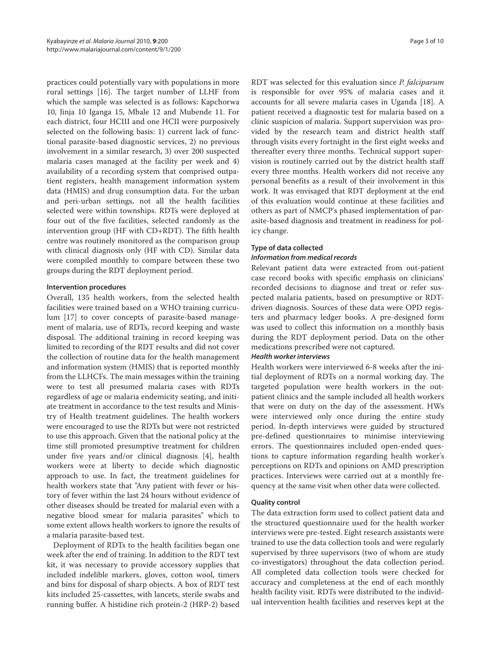practices could potentially vary with populations in more rural settings [16]. The target number of LLHF from which the sample was selected is as follows: Kapchorwa 10, Jinja 10 Iganga 15, Mbale 12 and Mubende 11. For each district, four HCIII and one HCII were purposively selected on the following basis: 1) current lack of functional parasite-based diagnostic services, 2) no previous involvement in a similar research, 3) over 200 suspected malaria cases managed at the facility per week and 4) availability of a recording system that comprised outpatient registers, health management information system data (HMIS) and drug consumption data. For the urban and peri-urban settings, not all the health facilities selected were within townships. RDTs were deployed at four out of the five facilities, selected randomly as the intervention group (HF with CD+RDT). The fifth health centre was routinely monitored as the comparison group with clinical diagnosis only (HF with CD). Similar data were compiled monthly to compare between these two groups during the RDT deployment period.

#### **Intervention procedures**

Overall, 135 health workers, from the selected health facilities were trained based on a WHO training curriculum [17] to cover concepts of parasite-based management of malaria, use of RDTs, record keeping and waste disposal. The additional training in record keeping was limited to recording of the RDT results and did not cover the collection of routine data for the health management and information system (HMIS) that is reported monthly from the LLHCFs. The main messages within the training were to test all presumed malaria cases with RDTs regardless of age or malaria endemicity seating, and initiate treatment in accordance to the test results and Ministry of Health treatment guidelines. The health workers were encouraged to use the RDTs but were not restricted to use this approach. Given that the national policy at the time still promoted presumptive treatment for children under five years and/or clinical diagnosis [4], health workers were at liberty to decide which diagnostic approach to use. In fact, the treatment guidelines for health workers state that "Any patient with fever or history of fever within the last 24 hours without evidence of other diseases should be treated for malarial even with a negative blood smear for malaria parasites" which to some extent allows health workers to ignore the results of a malaria parasite-based test.

Deployment of RDTs to the health facilities began one week after the end of training. In addition to the RDT test kit, it was necessary to provide accessory supplies that included indelible markers, gloves, cotton wool, timers and bins for disposal of sharp objects. A box of RDT test kits included 25-cassettes, with lancets, sterile swabs and running buffer. A histidine rich protein-2 (HRP-2) based

RDT was selected for this evaluation since *P. falciparum* is responsible for over 95% of malaria cases and it accounts for all severe malaria cases in Uganda [18]. A patient received a diagnostic test for malaria based on a clinic suspicion of malaria. Support supervision was provided by the research team and district health staff through visits every fortnight in the first eight weeks and thereafter every three months. Technical support supervision is routinely carried out by the district health staff every three months. Health workers did not receive any personal benefits as a result of their involvement in this work. It was envisaged that RDT deployment at the end of this evaluation would continue at these facilities and others as part of NMCP's phased implementation of parasite-based diagnosis and treatment in readiness for policy change.

## **Type of data collected**

#### *Information from medical records*

Relevant patient data were extracted from out-patient case record books with specific emphasis on clinicians' recorded decisions to diagnose and treat or refer suspected malaria patients, based on presumptive or RDTdriven diagnosis. Sources of these data were OPD registers and pharmacy ledger books. A pre-designed form was used to collect this information on a monthly basis during the RDT deployment period. Data on the other medications prescribed were not captured.

# *Health worker interviews*

Health workers were interviewed 6-8 weeks after the initial deployment of RDTs on a normal working day. The targeted population were health workers in the outpatient clinics and the sample included all health workers that were on duty on the day of the assessment. HWs were interviewed only once during the entire study period. In-depth interviews were guided by structured pre-defined questionnaires to minimise interviewing errors. The questionnaires included open-ended questions to capture information regarding health worker's perceptions on RDTs and opinions on AMD prescription practices. Interviews were carried out at a monthly frequency at the same visit when other data were collected.

#### **Quality control**

The data extraction form used to collect patient data and the structured questionnaire used for the health worker interviews were pre-tested. Eight research assistants were trained to use the data collection tools and were regularly supervised by three supervisors (two of whom are study co-investigators) throughout the data collection period. All completed data collection tools were checked for accuracy and completeness at the end of each monthly health facility visit. RDTs were distributed to the individual intervention health facilities and reserves kept at the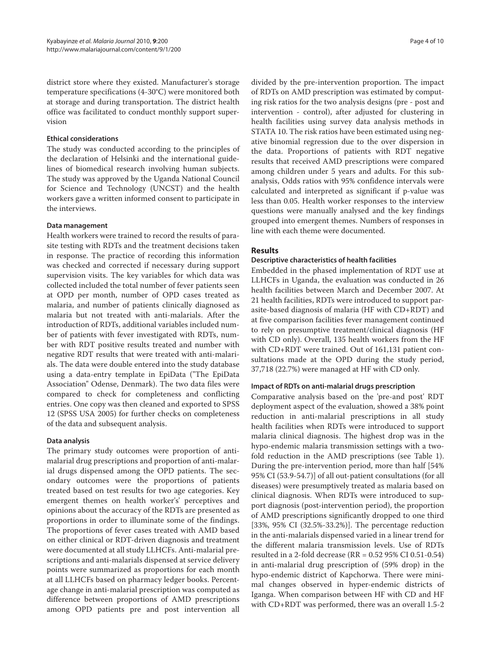district store where they existed. Manufacturer's storage temperature specifications (4-30°C) were monitored both at storage and during transportation. The district health office was facilitated to conduct monthly support supervision

#### **Ethical considerations**

The study was conducted according to the principles of the declaration of Helsinki and the international guidelines of biomedical research involving human subjects. The study was approved by the Uganda National Council for Science and Technology (UNCST) and the health workers gave a written informed consent to participate in the interviews.

#### **Data management**

Health workers were trained to record the results of parasite testing with RDTs and the treatment decisions taken in response. The practice of recording this information was checked and corrected if necessary during support supervision visits. The key variables for which data was collected included the total number of fever patients seen at OPD per month, number of OPD cases treated as malaria, and number of patients clinically diagnosed as malaria but not treated with anti-malarials. After the introduction of RDTs, additional variables included number of patients with fever investigated with RDTs, number with RDT positive results treated and number with negative RDT results that were treated with anti-malarials. The data were double entered into the study database using a data-entry template in EpiData ("The EpiData Association" Odense, Denmark). The two data files were compared to check for completeness and conflicting entries. One copy was then cleaned and exported to SPSS 12 (SPSS USA 2005) for further checks on completeness of the data and subsequent analysis.

## **Data analysis**

The primary study outcomes were proportion of antimalarial drug prescriptions and proportion of anti-malarial drugs dispensed among the OPD patients. The secondary outcomes were the proportions of patients treated based on test results for two age categories. Key emergent themes on health worker's' perceptives and opinions about the accuracy of the RDTs are presented as proportions in order to illuminate some of the findings. The proportions of fever cases treated with AMD based on either clinical or RDT-driven diagnosis and treatment were documented at all study LLHCFs. Anti-malarial prescriptions and anti-malarials dispensed at service delivery points were summarized as proportions for each month at all LLHCFs based on pharmacy ledger books. Percentage change in anti-malarial prescription was computed as difference between proportions of AMD prescriptions among OPD patients pre and post intervention all

divided by the pre-intervention proportion. The impact of RDTs on AMD prescription was estimated by computing risk ratios for the two analysis designs (pre - post and intervention - control), after adjusted for clustering in health facilities using survey data analysis methods in STATA 10. The risk ratios have been estimated using negative binomial regression due to the over dispersion in the data. Proportions of patients with RDT negative results that received AMD prescriptions were compared among children under 5 years and adults. For this subanalysis, Odds ratios with 95% confidence intervals were calculated and interpreted as significant if p-value was less than 0.05. Health worker responses to the interview questions were manually analysed and the key findings grouped into emergent themes. Numbers of responses in line with each theme were documented.

## **Results**

#### **Descriptive characteristics of health facilities**

Embedded in the phased implementation of RDT use at LLHCFs in Uganda, the evaluation was conducted in 26 health facilities between March and December 2007. At 21 health facilities, RDTs were introduced to support parasite-based diagnosis of malaria (HF with CD+RDT) and at five comparison facilities fever management continued to rely on presumptive treatment/clinical diagnosis (HF with CD only). Overall, 135 health workers from the HF with CD+RDT were trained. Out of 161,131 patient consultations made at the OPD during the study period, 37,718 (22.7%) were managed at HF with CD only.

#### **Impact of RDTs on anti-malarial drugs prescription**

Comparative analysis based on the 'pre-and post' RDT deployment aspect of the evaluation, showed a 38% point reduction in anti-malarial prescriptions in all study health facilities when RDTs were introduced to support malaria clinical diagnosis. The highest drop was in the hypo-endemic malaria transmission settings with a twofold reduction in the AMD prescriptions (see Table 1). During the pre-intervention period, more than half [54% 95% CI (53.9-54.7)] of all out-patient consultations (for all diseases) were presumptively treated as malaria based on clinical diagnosis. When RDTs were introduced to support diagnosis (post-intervention period), the proportion of AMD prescriptions significantly dropped to one third [33%, 95% CI (32.5%-33.2%)]. The percentage reduction in the anti-malarials dispensed varied in a linear trend for the different malaria transmission levels. Use of RDTs resulted in a 2-fold decrease (RR = 0.52 95% CI 0.51-0.54) in anti-malarial drug prescription of (59% drop) in the hypo-endemic district of Kapchorwa. There were minimal changes observed in hyper-endemic districts of Iganga. When comparison between HF with CD and HF with CD+RDT was performed, there was an overall 1.5-2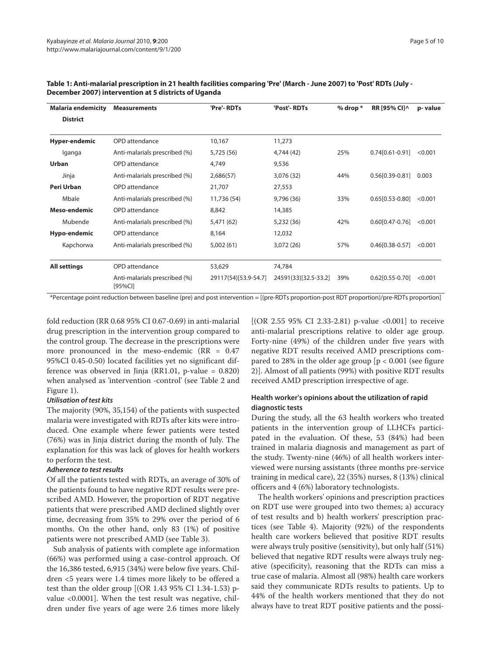| <b>Malaria endemicity</b> | <b>Measurements</b>                      | 'Pre'-RDTs           | 'Post'-RDTs          | % drop $*$ | RR [95% CI]^      | p-value |
|---------------------------|------------------------------------------|----------------------|----------------------|------------|-------------------|---------|
| <b>District</b>           |                                          |                      |                      |            |                   |         |
| Hyper-endemic             | OPD attendance                           | 10,167               | 11,273               |            |                   |         |
| lganga                    | Anti-malarials prescribed (%)            | 5,725 (56)           | 4,744 (42)           | 25%        | $0.74[0.61-0.91]$ | < 0.001 |
| Urban                     | OPD attendance                           | 4,749                | 9,536                |            |                   |         |
| Jinja                     | Anti-malarials prescribed (%)            | 2,686(57)            | 3,076 (32)           | 44%        | $0.56[0.39-0.81]$ | 0.003   |
| Peri Urban                | OPD attendance                           | 21,707               | 27,553               |            |                   |         |
| Mbale                     | Anti-malarials prescribed (%)            | 11,736 (54)          | 9,796 (36)           | 33%        | $0.65[0.53-0.80]$ | < 0.001 |
| Meso-endemic              | OPD attendance                           | 8,842                | 14,385               |            |                   |         |
| Mubende                   | Anti-malarials prescribed (%)            | 5,471 (62)           | 5,232(36)            | 42%        | $0.60[0.47-0.76]$ | < 0.001 |
| Hypo-endemic              | OPD attendance                           | 8,164                | 12,032               |            |                   |         |
| Kapchorwa                 | Anti-malarials prescribed (%)            | 5,002(61)            | 3,072 (26)           | 57%        | 0.46[0.38-0.57]   | < 0.001 |
| <b>All settings</b>       | OPD attendance                           | 53,629               | 74,784               |            |                   |         |
|                           | Anti-malarials prescribed (%)<br>[95%CI] | 29117(54)[53.9-54.7] | 24591(33)[32.5-33.2] | 39%        | $0.62[0.55-0.70]$ | < 0.001 |

#### **Table 1: Anti-malarial prescription in 21 health facilities comparing 'Pre' (March - June 2007) to 'Post' RDTs (July - December 2007) intervention at 5 districts of Uganda**

\*Percentage point reduction between baseline (pre) and post intervention = [(pre-RDTs proportion-post RDT proportion)/pre-RDTs proportion]

fold reduction (RR 0.68 95% CI 0.67-0.69) in anti-malarial drug prescription in the intervention group compared to the control group. The decrease in the prescriptions were more pronounced in the meso-endemic (RR =  $0.47$ ) 95%CI 0.45-0.50) located facilities yet no significant difference was observed in Jinja (RR1.01, p-value = 0.820) when analysed as 'intervention -control' (see Table 2 and Figure 1).

# *Utilisation of test kits*

The majority (90%, 35,154) of the patients with suspected malaria were investigated with RDTs after kits were introduced. One example where fewer patients were tested (76%) was in Jinja district during the month of July. The explanation for this was lack of gloves for health workers to perform the test.

## *Adherence to test results*

Of all the patients tested with RDTs, an average of 30% of the patients found to have negative RDT results were prescribed AMD. However, the proportion of RDT negative patients that were prescribed AMD declined slightly over time, decreasing from 35% to 29% over the period of 6 months. On the other hand, only 83 (1%) of positive patients were not prescribed AMD (see Table 3).

Sub analysis of patients with complete age information (66%) was performed using a case-control approach. Of the 16,386 tested, 6,915 (34%) were below five years. Children <5 years were 1.4 times more likely to be offered a test than the older group [(OR 1.43 95% CI 1.34-1.53) pvalue <0.0001]. When the test result was negative, children under five years of age were 2.6 times more likely [(OR 2.55 95% CI 2.33-2.81) p-value <0.001] to receive anti-malarial prescriptions relative to older age group. Forty-nine (49%) of the children under five years with negative RDT results received AMD prescriptions compared to 28% in the older age group  $[p < 0.001]$  (see figure 2)]. Almost of all patients (99%) with positive RDT results received AMD prescription irrespective of age.

## **Health worker's opinions about the utilization of rapid diagnostic tests**

During the study, all the 63 health workers who treated patients in the intervention group of LLHCFs participated in the evaluation. Of these, 53 (84%) had been trained in malaria diagnosis and management as part of the study. Twenty-nine (46%) of all health workers interviewed were nursing assistants (three months pre-service training in medical care), 22 (35%) nurses, 8 (13%) clinical officers and 4 (6%) laboratory technologists.

The health workers' opinions and prescription practices on RDT use were grouped into two themes; a) accuracy of test results and b) health workers' prescription practices (see Table 4). Majority (92%) of the respondents health care workers believed that positive RDT results were always truly positive (sensitivity), but only half (51%) believed that negative RDT results were always truly negative (specificity), reasoning that the RDTs can miss a true case of malaria. Almost all (98%) health care workers said they communicate RDTs results to patients. Up to 44% of the health workers mentioned that they do not always have to treat RDT positive patients and the possi-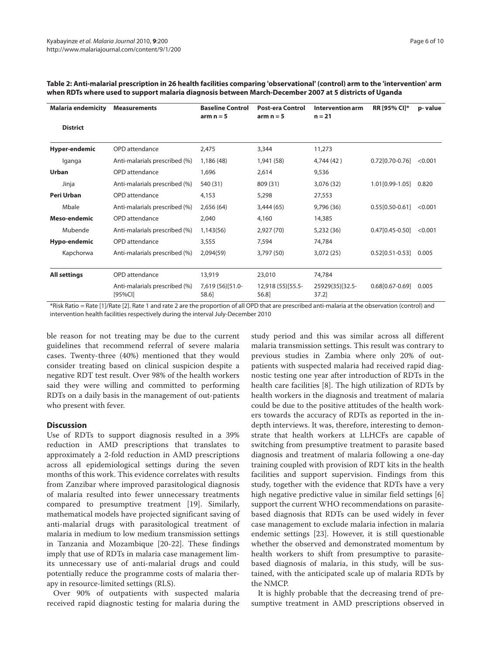| <b>Malaria endemicity</b> | <b>Measurements</b>                      | <b>Baseline Control</b><br>$arm n = 5$ | <b>Post-era Control</b><br>$arm n = 5$ | <b>Intervention</b> arm<br>$n = 21$ | <b>RR [95% CI]*</b> | p-value |
|---------------------------|------------------------------------------|----------------------------------------|----------------------------------------|-------------------------------------|---------------------|---------|
| <b>District</b>           |                                          |                                        |                                        |                                     |                     |         |
| Hyper-endemic             | OPD attendance                           | 2,475                                  | 3,344                                  | 11,273                              |                     |         |
| lganga                    | Anti-malarials prescribed (%)            | 1,186 (48)                             | 1,941 (58)                             | 4,744 (42)                          | $0.72[0.70-0.76]$   | < 0.001 |
| Urban                     | OPD attendance                           | 1,696                                  | 2,614                                  | 9,536                               |                     |         |
| Jinja                     | Anti-malarials prescribed (%)            | 540 (31)                               | 809 (31)                               | 3,076 (32)                          | 1.01[0.99-1.05]     | 0.820   |
| Peri Urban                | OPD attendance                           | 4,153                                  | 5,298                                  | 27,553                              |                     |         |
| Mbale                     | Anti-malarials prescribed (%)            | 2,656(64)                              | 3,444 (65)                             | 9,796 (36)                          | $0.55[0.50-0.61]$   | < 0.001 |
| Meso-endemic              | OPD attendance                           | 2,040                                  | 4,160                                  | 14,385                              |                     |         |
| Mubende                   | Anti-malarials prescribed (%)            | 1,143(56)                              | 2,927 (70)                             | 5,232 (36)                          | $0.47[0.45-0.50]$   | < 0.001 |
| Hypo-endemic              | OPD attendance                           | 3,555                                  | 7,594                                  | 74,784                              |                     |         |
| Kapchorwa                 | Anti-malarials prescribed (%)            | 2,094(59)                              | 3,797 (50)                             | 3,072 (25)                          | $0.52[0.51-0.53]$   | 0.005   |
| <b>All settings</b>       | OPD attendance                           | 13,919                                 | 23,010                                 | 74,784                              |                     |         |
|                           | Anti-malarials prescribed (%)<br>[95%CI] | 7,619 (56) [51.0-<br>58.6              | 12,918 (55)[55.5-<br>56.8              | 25929(35)[32.5-<br>$37.2$ ]         | $0.68[0.67-0.69]$   | 0.005   |

**Table 2: Anti-malarial prescription in 26 health facilities comparing 'observational' (control) arm to the 'intervention' arm when RDTs where used to support malaria diagnosis between March-December 2007 at 5 districts of Uganda**

\*Risk Ratio = Rate [1]/Rate [2]. Rate 1 and rate 2 are the proportion of all OPD that are prescribed anti-malaria at the observation (control) and intervention health facilities respectively during the interval July-December 2010

ble reason for not treating may be due to the current guidelines that recommend referral of severe malaria cases. Twenty-three (40%) mentioned that they would consider treating based on clinical suspicion despite a negative RDT test result. Over 98% of the health workers said they were willing and committed to performing RDTs on a daily basis in the management of out-patients who present with fever.

## **Discussion**

Use of RDTs to support diagnosis resulted in a 39% reduction in AMD prescriptions that translates to approximately a 2-fold reduction in AMD prescriptions across all epidemiological settings during the seven months of this work. This evidence correlates with results from Zanzibar where improved parasitological diagnosis of malaria resulted into fewer unnecessary treatments compared to presumptive treatment [19]. Similarly, mathematical models have projected significant saving of anti-malarial drugs with parasitological treatment of malaria in medium to low medium transmission settings in Tanzania and Mozambique [20-22]. These findings imply that use of RDTs in malaria case management limits unnecessary use of anti-malarial drugs and could potentially reduce the programme costs of malaria therapy in resource-limited settings (RLS).

Over 90% of outpatients with suspected malaria received rapid diagnostic testing for malaria during the

study period and this was similar across all different malaria transmission settings. This result was contrary to previous studies in Zambia where only 20% of outpatients with suspected malaria had received rapid diagnostic testing one year after introduction of RDTs in the health care facilities [8]. The high utilization of RDTs by health workers in the diagnosis and treatment of malaria could be due to the positive attitudes of the health workers towards the accuracy of RDTs as reported in the indepth interviews. It was, therefore, interesting to demonstrate that health workers at LLHCFs are capable of switching from presumptive treatment to parasite based diagnosis and treatment of malaria following a one-day training coupled with provision of RDT kits in the health facilities and support supervision. Findings from this study, together with the evidence that RDTs have a very high negative predictive value in similar field settings [6] support the current WHO recommendations on parasitebased diagnosis that RDTs can be used widely in fever case management to exclude malaria infection in malaria endemic settings [23]. However, it is still questionable whether the observed and demonstrated momentum by health workers to shift from presumptive to parasitebased diagnosis of malaria, in this study, will be sustained, with the anticipated scale up of malaria RDTs by the NMCP.

It is highly probable that the decreasing trend of presumptive treatment in AMD prescriptions observed in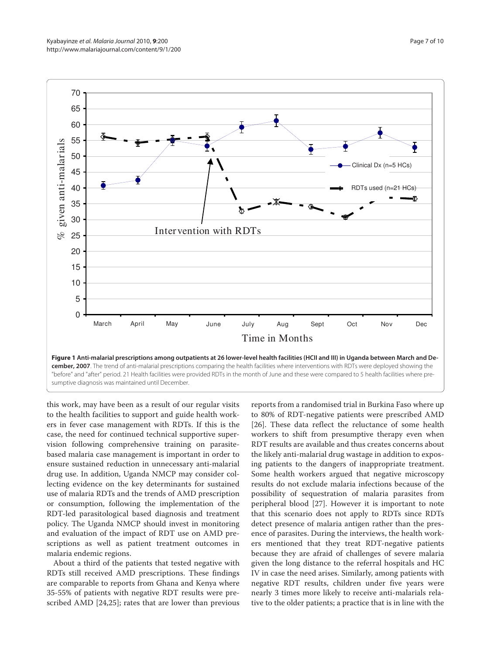

this work, may have been as a result of our regular visits to the health facilities to support and guide health workers in fever case management with RDTs. If this is the case, the need for continued technical supportive supervision following comprehensive training on parasitebased malaria case management is important in order to ensure sustained reduction in unnecessary anti-malarial drug use. In addition, Uganda NMCP may consider collecting evidence on the key determinants for sustained use of malaria RDTs and the trends of AMD prescription or consumption, following the implementation of the RDT-led parasitological based diagnosis and treatment policy. The Uganda NMCP should invest in monitoring and evaluation of the impact of RDT use on AMD prescriptions as well as patient treatment outcomes in malaria endemic regions.

About a third of the patients that tested negative with RDTs still received AMD prescriptions. These findings are comparable to reports from Ghana and Kenya where 35-55% of patients with negative RDT results were prescribed AMD [24,25]; rates that are lower than previous

reports from a randomised trial in Burkina Faso where up to 80% of RDT-negative patients were prescribed AMD [26]. These data reflect the reluctance of some health workers to shift from presumptive therapy even when RDT results are available and thus creates concerns about the likely anti-malarial drug wastage in addition to exposing patients to the dangers of inappropriate treatment. Some health workers argued that negative microscopy results do not exclude malaria infections because of the possibility of sequestration of malaria parasites from peripheral blood [27]. However it is important to note that this scenario does not apply to RDTs since RDTs detect presence of malaria antigen rather than the presence of parasites. During the interviews, the health workers mentioned that they treat RDT-negative patients because they are afraid of challenges of severe malaria given the long distance to the referral hospitals and HC IV in case the need arises. Similarly, among patients with negative RDT results, children under five years were nearly 3 times more likely to receive anti-malarials relative to the older patients; a practice that is in line with the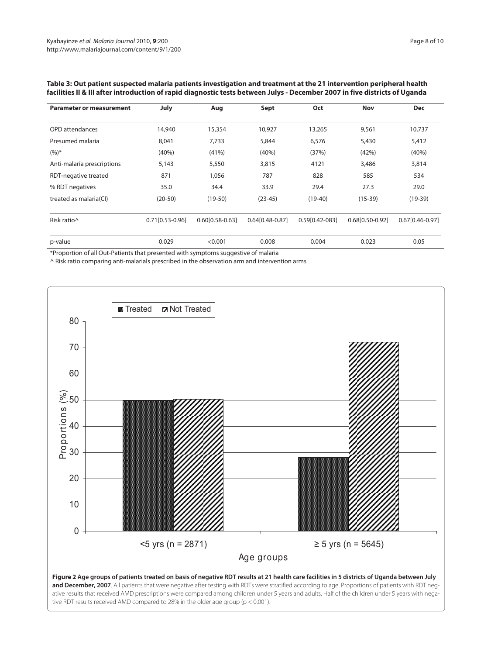| <b>Parameter or measurement</b>           | July              | Aug               | Sept              | Oct            | <b>Nov</b>        | <b>Dec</b>      |
|-------------------------------------------|-------------------|-------------------|-------------------|----------------|-------------------|-----------------|
| <b>OPD</b> attendances                    | 14,940            | 15,354            | 10,927            | 13,265         | 9,561             | 10,737          |
| Presumed malaria                          | 8,041             | 7,733             | 5,844             | 6,576          | 5,430             | 5,412           |
| $(9/6)*$                                  | (40%)             | (41%)             | (40%)             | (37%)          | (42%)             | (40%)           |
| Anti-malaria prescriptions                | 5,143             | 5,550             | 3,815             | 4121           | 3,486             | 3,814           |
| RDT-negative treated                      | 871               | 1,056             | 787               | 828            | 585               | 534             |
| % RDT negatives                           | 35.0              | 34.4              | 33.9              | 29.4           | 27.3              | 29.0            |
| treated as malaria(CI)                    | $(20-50)$         | $(19-50)$         | $(23-45)$         | $(19-40)$      | $(15-39)$         | $(19-39)$       |
| Risk ratio <sup><math>\wedge</math></sup> | $0.71[0.53-0.96]$ | $0.60[0.58-0.63]$ | $0.64[0.48-0.87]$ | 0.59[0.42-083] | $0.68[0.50-0.92]$ | 0.67[0.46-0.97] |
| p-value                                   | 0.029             | < 0.001           | 0.008             | 0.004          | 0.023             | 0.05            |

## **Table 3: Out patient suspected malaria patients investigation and treatment at the 21 intervention peripheral health facilities II & III after introduction of rapid diagnostic tests between Julys - December 2007 in five districts of Uganda**

\*Proportion of all Out-Patients that presented with symptoms suggestive of malaria

^ Risk ratio comparing anti-malarials prescribed in the observation arm and intervention arms



ative results that received AMD prescriptions were compared among children under 5 years and adults. Half of the children under 5 years with negative RDT results received AMD compared to 28% in the older age group (p < 0.001).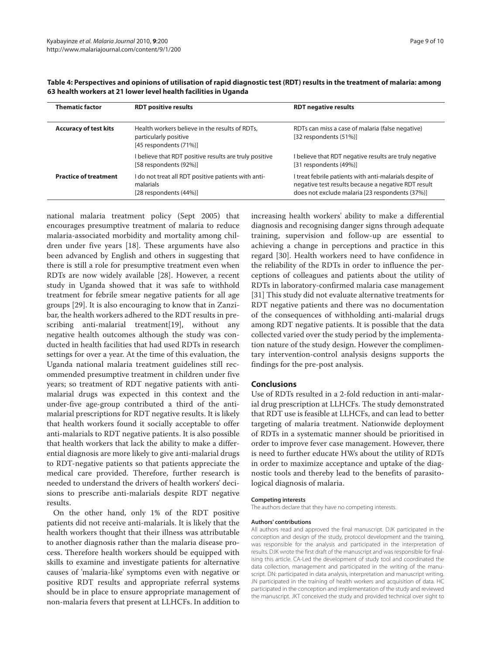| <b>Thematic factor</b>       | <b>RDT positive results</b>                                                                       | <b>RDT negative results</b>                                                                                                                                       |  |  |
|------------------------------|---------------------------------------------------------------------------------------------------|-------------------------------------------------------------------------------------------------------------------------------------------------------------------|--|--|
| <b>Accuracy of test kits</b> | Health workers believe in the results of RDTs,<br>particularly positive<br>[45 respondents (71%)] | RDTs can miss a case of malaria (false negative)<br>[32 respondents (51%)]                                                                                        |  |  |
|                              | believe that RDT positive results are truly positive<br>[58 respondents (92%)]                    | I believe that RDT negative results are truly negative<br>[31 respondents (49%)]                                                                                  |  |  |
| <b>Practice of treatment</b> | do not treat all RDT positive patients with anti-<br>malarials<br>[28 respondents (44%)]          | I treat febrile patients with anti-malarials despite of<br>negative test results because a negative RDT result<br>does not exclude malaria [23 respondents (37%)] |  |  |

**Table 4: Perspectives and opinions of utilisation of rapid diagnostic test (RDT) results in the treatment of malaria: among 63 health workers at 21 lower level health facilities in Uganda**

national malaria treatment policy (Sept 2005) that encourages presumptive treatment of malaria to reduce malaria-associated morbidity and mortality among children under five years [18]. These arguments have also been advanced by English and others in suggesting that there is still a role for presumptive treatment even when RDTs are now widely available [28]. However, a recent study in Uganda showed that it was safe to withhold treatment for febrile smear negative patients for all age groups [29]. It is also encouraging to know that in Zanzibar, the health workers adhered to the RDT results in prescribing anti-malarial treatment[19], without any negative health outcomes although the study was conducted in health facilities that had used RDTs in research settings for over a year. At the time of this evaluation, the Uganda national malaria treatment guidelines still recommended presumptive treatment in children under five years; so treatment of RDT negative patients with antimalarial drugs was expected in this context and the under-five age-group contributed a third of the antimalarial prescriptions for RDT negative results. It is likely that health workers found it socially acceptable to offer anti-malarials to RDT negative patients. It is also possible that health workers that lack the ability to make a differential diagnosis are more likely to give anti-malarial drugs to RDT-negative patients so that patients appreciate the medical care provided. Therefore, further research is needed to understand the drivers of health workers' decisions to prescribe anti-malarials despite RDT negative results.

On the other hand, only 1% of the RDT positive patients did not receive anti-malarials. It is likely that the health workers thought that their illness was attributable to another diagnosis rather than the malaria disease process. Therefore health workers should be equipped with skills to examine and investigate patients for alternative causes of 'malaria-like' symptoms even with negative or positive RDT results and appropriate referral systems should be in place to ensure appropriate management of non-malaria fevers that present at LLHCFs. In addition to

increasing health workers' ability to make a differential diagnosis and recognising danger signs through adequate training, supervision and follow-up are essential to achieving a change in perceptions and practice in this regard [30]. Health workers need to have confidence in the reliability of the RDTs in order to influence the perceptions of colleagues and patients about the utility of RDTs in laboratory-confirmed malaria case management [31] This study did not evaluate alternative treatments for RDT negative patients and there was no documentation of the consequences of withholding anti-malarial drugs among RDT negative patients. It is possible that the data collected varied over the study period by the implementation nature of the study design. However the complimentary intervention-control analysis designs supports the findings for the pre-post analysis.

## **Conclusions**

Use of RDTs resulted in a 2-fold reduction in anti-malarial drug prescription at LLHCFs. The study demonstrated that RDT use is feasible at LLHCFs, and can lead to better targeting of malaria treatment. Nationwide deployment of RDTs in a systematic manner should be prioritised in order to improve fever case management. However, there is need to further educate HWs about the utility of RDTs in order to maximize acceptance and uptake of the diagnostic tools and thereby lead to the benefits of parasitological diagnosis of malaria.

#### **Competing interests**

The authors declare that they have no competing interests.

#### **Authors' contributions**

All authors read and approved the final manuscript. DJK participated in the conception and design of the study, protocol development and the training, was responsible for the analysis and participated in the interpretation of results. DJK wrote the first draft of the manuscript and was responsible for finalising this article. CA-Led the development of study tool and coordinated the data collection, management and participated in the writing of the manuscript. DN: participated in data analysis, interpretation and manuscript writing. JN participated in the training of health workers and acquisition of data. HC participated in the conception and implementation of the study and reviewed the manuscript. JKT conceived the study and provided technical over sight to